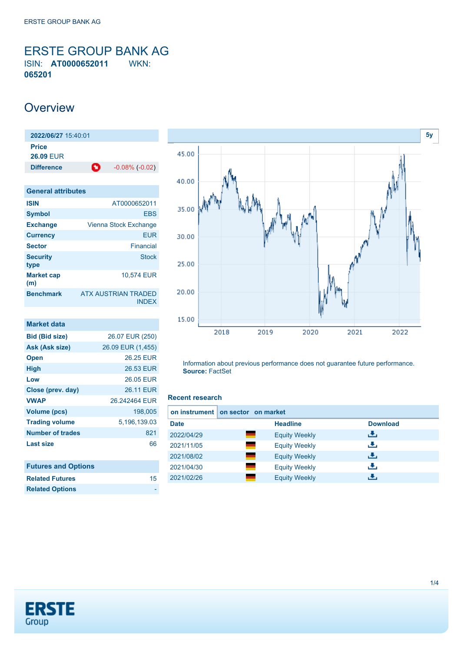<span id="page-0-0"></span>ERSTE GROUP BANK AG ISIN: **AT0000652011** WKN: **065201**

## **Overview**

**2022/06/27** 15:40:01 **Price 26.09** EUR **Difference 1**  $-0.08\%$  (-0.02)

| <b>General attributes</b> |                                     |
|---------------------------|-------------------------------------|
| <b>ISIN</b>               | AT0000652011                        |
| <b>Symbol</b>             | <b>EBS</b>                          |
| <b>Exchange</b>           | Vienna Stock Exchange               |
| <b>Currency</b>           | <b>EUR</b>                          |
| <b>Sector</b>             | Financial                           |
| <b>Security</b><br>type   | <b>Stock</b>                        |
| <b>Market cap</b><br>(m)  | 10,574 EUR                          |
| <b>Benchmark</b>          | ATX AUSTRIAN TRADED<br><b>INDEX</b> |

| <b>Market data</b>         |                   |
|----------------------------|-------------------|
| <b>Bid (Bid size)</b>      | 26.07 EUR (250)   |
| Ask (Ask size)             | 26.09 EUR (1,455) |
| <b>Open</b>                | 26.25 EUR         |
| High                       | 26.53 EUR         |
| Low                        | 26.05 EUR         |
| Close (prev. day)          | 26.11 EUR         |
| <b>VWAP</b>                | 26 242464 FUR     |
| Volume (pcs)               | 198,005           |
| <b>Trading volume</b>      | 5,196,139.03      |
| <b>Number of trades</b>    | 821               |
| Last size                  | 66                |
|                            |                   |
| <b>Futures and Options</b> |                   |

**Related Futures** [15](https://de.products.erstegroup.com/CorporateClients/en/Dispatcher/SearchDispatcher/Market/future/index.phtml?ID_INSTRUMENT_CLASS_FUTURE=64797790)



Information about previous performance does not guarantee future performance. **Source:** FactSet

#### **Recent research**

| on instrument | on sector on market  |                 |
|---------------|----------------------|-----------------|
| <b>Date</b>   | <b>Headline</b>      | <b>Download</b> |
| 2022/04/29    | <b>Equity Weekly</b> | رالى            |
| 2021/11/05    | <b>Equity Weekly</b> | æ,              |
| 2021/08/02    | <b>Equity Weekly</b> | رنان            |
| 2021/04/30    | <b>Equity Weekly</b> | æ,              |
| 2021/02/26    | <b>Equity Weekly</b> | Æ,              |



**Related Options**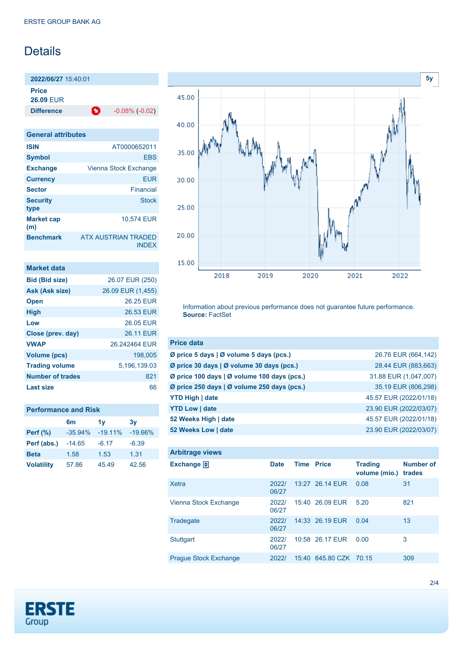# Details

**2022/06/27** 15:40:01 **Price**

**26.09** EUR

**Difference**  $-0.08\%(-0.02)$ 

| <b>General attributes</b> |                                     |
|---------------------------|-------------------------------------|
| <b>ISIN</b>               | AT0000652011                        |
| <b>Symbol</b>             | <b>FBS</b>                          |
| <b>Exchange</b>           | Vienna Stock Exchange               |
| <b>Currency</b>           | <b>EUR</b>                          |
| <b>Sector</b>             | Financial                           |
| <b>Security</b><br>type   | Stock                               |
| <b>Market cap</b><br>(m)  | 10.574 EUR                          |
| <b>Benchmark</b>          | ATX AUSTRIAN TRADED<br><b>INDEX</b> |

| Market data             |                   |
|-------------------------|-------------------|
| <b>Bid (Bid size)</b>   | 26.07 EUR (250)   |
| Ask (Ask size)          | 26.09 EUR (1,455) |
| <b>Open</b>             | 26.25 FUR         |
| <b>High</b>             | 26.53 EUR         |
| Low                     | 26.05 FUR         |
| Close (prev. day)       | <b>26.11 EUR</b>  |
| <b>VWAP</b>             | 26.242464 EUR     |
| Volume (pcs)            | 198.005           |
| <b>Trading volume</b>   | 5,196,139.03      |
| <b>Number of trades</b> | 821               |
| Last size               | 66                |

### **Performance and Risk**

|                   | 6m        | 1 <sub>V</sub> | 3v        |
|-------------------|-----------|----------------|-----------|
| Perf $(\%)$       | $-35.94%$ | $-19.11\%$     | $-19.66%$ |
| Perf (abs.)       | $-14.65$  | $-6.17$        | $-6.39$   |
| <b>Beta</b>       | 1.58      | 1.53           | 1.31      |
| <b>Volatility</b> | 57.86     | 45.49          | 42.56     |



Information about previous performance does not guarantee future performance. **Source:** FactSet

| <b>Price data</b>                           |                        |
|---------------------------------------------|------------------------|
| Ø price 5 days   Ø volume 5 days (pcs.)     | 26.76 EUR (664,142)    |
| Ø price 30 days   Ø volume 30 days (pcs.)   | 28.44 EUR (883,663)    |
| Ø price 100 days   Ø volume 100 days (pcs.) | 31.88 EUR (1,047,007)  |
| Ø price 250 days   Ø volume 250 days (pcs.) | 35.19 EUR (806,298)    |
| <b>YTD High   date</b>                      | 45.57 EUR (2022/01/18) |
| <b>YTD Low   date</b>                       | 23.90 EUR (2022/03/07) |
| 52 Weeks High   date                        | 45.57 EUR (2022/01/18) |
| 52 Weeks Low   date                         | 23.90 EUR (2022/03/07) |

| <b>Arbitrage views</b>       |                |                   |                        |                                 |                            |
|------------------------------|----------------|-------------------|------------------------|---------------------------------|----------------------------|
| Exchange $\Box$              | <b>Date</b>    | <b>Time Price</b> |                        | <b>Trading</b><br>volume (mio.) | <b>Number of</b><br>trades |
| <b>Xetra</b>                 | 20221<br>06/27 |                   | 13:27 26.14 EUR        | 0.08                            | 31                         |
| Vienna Stock Exchange        | 2022/<br>06/27 |                   | 15:40 26.09 EUR        | 5.20                            | 821                        |
| Tradegate                    | 2022/<br>06/27 |                   | 14:33 26.19 EUR        | 0.04                            | 13                         |
| <b>Stuttgart</b>             | 2022/<br>06/27 |                   | 10:58 26.17 EUR        | 0.00                            | 3                          |
| <b>Prague Stock Exchange</b> | 2022/          |                   | 15:40 645.80 CZK 70.15 |                                 | 309                        |

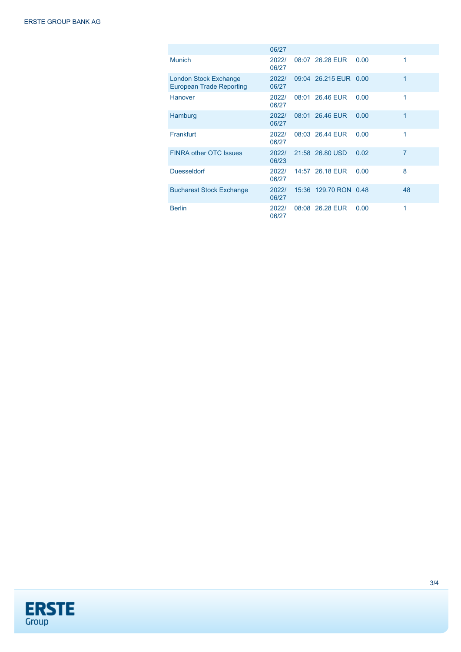|                                                                 | 06/27          |                       |      |    |
|-----------------------------------------------------------------|----------------|-----------------------|------|----|
| <b>Munich</b>                                                   | 2022/<br>06/27 | 08:07 26.28 EUR       | 0.00 | 1  |
| <b>London Stock Exchange</b><br><b>European Trade Reporting</b> | 2022/<br>06/27 | 09:04 26.215 EUR 0.00 |      | 1  |
| <b>Hanover</b>                                                  | 2022/<br>06/27 | 08:01 26.46 EUR       | 0.00 | 1  |
| Hamburg                                                         | 2022/<br>06/27 | 08:01 26.46 EUR       | 0.00 | 1  |
| Frankfurt                                                       | 2022/<br>06/27 | 08:03 26.44 FUR       | 0.00 | 1  |
| <b>FINRA other OTC Issues</b>                                   | 2022/<br>06/23 | 21:58 26.80 USD       | 0.02 | 7  |
| <b>Duesseldorf</b>                                              | 2022/<br>06/27 | 14:57 26.18 EUR       | 0.00 | 8  |
| <b>Bucharest Stock Exchange</b>                                 | 2022/<br>06/27 | 15:36 129.70 RON 0.48 |      | 48 |
| <b>Berlin</b>                                                   | 2022/<br>06/27 | 08:08 26.28 EUR       | 0.00 | 1  |